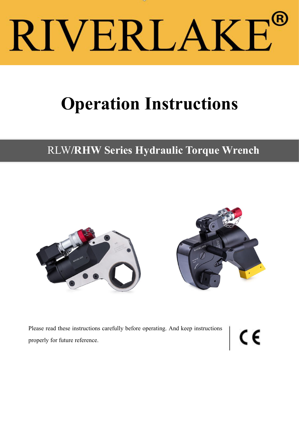# RIVERLAKE

# **Operation Instructions**

# RLW**/RHW Series Hydraulic Torque Wrench**





Please read these instructions carefully before operating. And keep instructions properly for future reference. properly for future reference.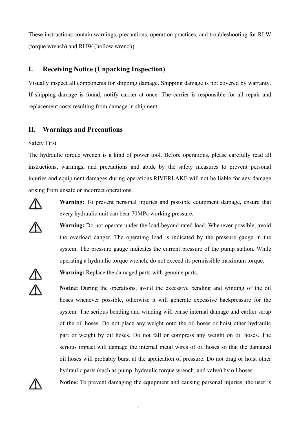These instructions contain warnings, precautions, operation practices, and troubleshooting for RLW (torque wrench) and RHW (hollow wrench).

#### **I. Receiving Notice (Unpacking Inspection)**

Visually inspect all components for shipping damage. Shipping damage is not covered by warranty. If shipping damage is found, notify carrier at once. The carrier is responsible for all repair and replacement costs resulting from damage in shipment.

#### **II. Warnings and Precautions**

Safety First

The hydraulic torque wrench is a kind of power tool. Before operations, please carefully read all instructions, warnings, and precautions and abide by the safety measures to prevent personal injuries and equipment damages during operations.RIVERLAKE will not be liable for any damage arising from unsafe or incorrect operations.



**Warning:** To prevent personal injuries and possible equipment damage, ensure that every hydraulic unit can bear 70MPa working pressure.

**Warning:** Do not operate under the load beyond rated load. Whenever possible, avoid the overload danger. The operating load is indicated by the pressure gauge in the system. The pressure gauge indicates the current pressure of the pump station. While operating a hydraulic torque wrench, do not exceed its permissible maximum torque.



**Warning:** Replace the damaged parts with genuine parts.

**Notice:** During the operations, avoid the excessive bending and winding of the oil hoses whenever possible, otherwise it will generate excessive backpressure for the system. The serious bending and winding will cause internal damage and earlier scrap of the oil hoses. Do not place any weight onto the oil hoses or hoist other hydraulic part or weight by oil hoses. Do not fall or compress any weight on oil hoses. The serious impact will damage the internal metal wires of oil hoses so that the damaged oil hoses will probably burst at the application of pressure. Do not drag or hoist other hydraulic parts (such as pump, hydraulic torque wrench, and valve) by oil hoses.



**Notice:** To prevent damaging the equipment and causing personal injuries, the user is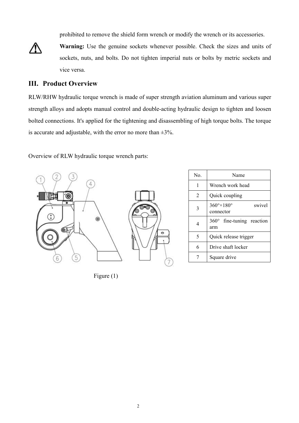prohibited to remove the shield form wrench or modify the wrench or its accessories.



**Warning:** Use the genuine sockets whenever possible. Check the sizes and units of sockets, nuts, and bolts. Do not tighten imperial nuts or bolts by metric sockets and vice versa.

#### **III. Product Overview**

RLW/RHW hydraulic torque wrench is made of super strength aviation aluminum and various super strength alloys and adopts manual control and double-acting hydraulic design to tighten and loosen bolted connections. It's applied for the tightening and disassembling of high torque bolts. The torque is accurate and adjustable, with the error no more than  $\pm 3\%$ .

Overview of RLW hydraulic torque wrench parts:



Figure (1)

| No. | Name                                                |
|-----|-----------------------------------------------------|
| 1   | Wrench work head                                    |
| 2   | Quick coupling                                      |
| 3   | $360^\circ \times 180^\circ$<br>swivel<br>connector |
| 4   | $360^\circ$ fine-tuning reaction<br>arm             |
| 5   | Quick release trigger                               |
| 6   | Drive shaft locker                                  |
| 7   | Square drive                                        |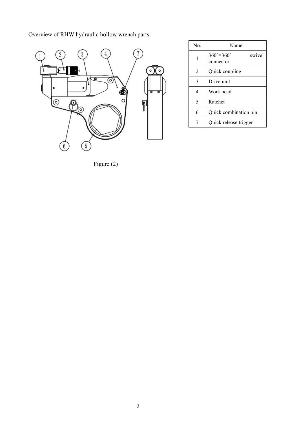Overview of RHW hydraulic hollow wrench parts:



No. Name

2  $\vert$  Quick coupling

 $3$  Drive unit 4 | Work head

5 Ratchet

 $\frac{1}{\text{connector}}$ 360°×360° swivel

6 Quick combination pin

7 | Quick release trigger

Figure (2)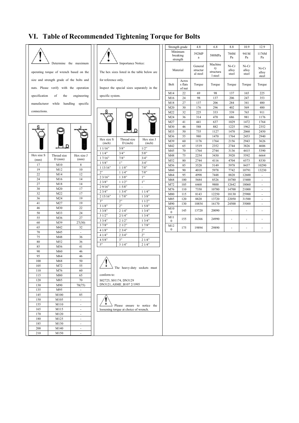## **VI. Table of Recommended Tightening Torque for Bolts**





| Hex size S | Thread size | Hex size J | 11/4"      |
|------------|-------------|------------|------------|
| (mm)       | $D$ (mm)    | (mm)       | 17/16"     |
| 17         | M10         | 8          | 15/8"      |
| 19         | M12         | 10         | 1 13/16"   |
| 22         | M14         | 12         | 2"         |
| 24         | M16         | 14         | 23/16"     |
| 27         | M18         | 14         | 23/8"      |
| 30         | M20         | 17         | 29/16"     |
| 32         | M22         | 17         | 23/4"      |
| 36         | M24         | 19         | 2 15/16"   |
| 41         | M27         | 19         | 3"         |
| 46         | M30         | 22         | 31/8"      |
| 50         | M33         | 24         | 33/8"      |
| 55         | M36         | 27         | 31/2"      |
| 60         | M39         | 27(30)     | 33/4"      |
| 65         | M42         | 32         | 37/8"      |
| 70         | M45         | L,         | 41/8"      |
| 75         | M48         | 36         | 41/4"      |
| 80         | M52         | 36         | 45/8"      |
| 85         | M56         | 41         | 5"         |
| 90         | M60         | 46         |            |
| 95         | M64         | 46         |            |
| 100        | M68         | 50         |            |
| 105        | M72         | 55         |            |
| 110        | M76         | 60         |            |
| 115        | M80         | 65         | conform to |
| 120        | M85         | 70         | S02725, S  |
| 130        | M90         | 70(75)     | DN3121,    |
| 135        | M95         | -          |            |
| 145        | M100        | 85         |            |
| 150        | M105        | ÷,         |            |
| 155        | M110        | -          |            |
| 165        | M115        | ÷          | loosening  |
| 170        | M120        | ÷          |            |
| 180        | M125        | -          |            |
| 185        | M130        | -          |            |
| 200        | M140        |            |            |
| 210        | M150        | Ĭ.         |            |



The hex sizes listed in the table below are

for reference only.

Inspect the special sizes separately in the



|                      |                         |                      | M36              |
|----------------------|-------------------------|----------------------|------------------|
| Hex size S<br>(inch) | Thread size<br>D (inch) | Hex size J<br>(inch) | M39              |
|                      |                         |                      | M42              |
| 11/16"               | 5/8"                    | 1/2"                 | M45              |
| 11/4"                | 3/4"                    | 5/8"                 | M48              |
| 17/16"               | 7/8"                    | 3/4"                 | M52              |
| 15/8"                | 1"                      | 3/4"                 | M56              |
| 113/16"              | 11/8"                   | $7/8"$               | M60              |
| 2"                   | 11/4"                   | 7/8"                 |                  |
| 23/16"               | 13/8"                   | 1"                   | M64              |
| 23/8"                | 11/2"                   | 1"                   | M68              |
| 29/16"               | 15/8"                   |                      | M72              |
| 23/4"                | 13/4"                   | 11/4"                | M76              |
| 2 15/16"             | 17/8"                   | 13/8"                | M80              |
| 3"                   | 2"                      | 11/2"                | M85              |
| 31/8"                | 2"                      | 15/8"                | M90              |
|                      |                         | 13/4"                | M10              |
| 33/8"                | 21/4"                   |                      | 0                |
| 31/2"                | 2/1/4"                  | 13/4"                | M11              |
| 33/4"                | 21/2"                   | 13/4"                | $\boldsymbol{0}$ |
| 37/8"                | 21/2"                   | 17/8"                | M12              |
| 41/8"                | 23/4"                   | 2"                   | $\bf{0}$         |
| 41/4"                | 23/4"                   | 2"                   |                  |
| 45/8"                | 3"                      | 21/4"                |                  |
| 5"                   | 31/4"                   | 21/4"                |                  |

|                     | Strength grade                  | 4.8                             | 6.8                                   | 8.8                     | 10.9                    | 12.9                     |
|---------------------|---------------------------------|---------------------------------|---------------------------------------|-------------------------|-------------------------|--------------------------|
|                     | Minimum<br>breaking<br>strength | 392MP<br>a                      | 588MPa                                | 784M<br>Pa              | 941M<br>Pa              | 1176M<br>Pa              |
|                     | Material                        | General<br>structur<br>al steel | Machine<br>ry<br>structura<br>l steel | Ni-Cr<br>alloy<br>steel | Ni-Cr<br>alloy<br>steel | Ni-Cr<br>alloy<br>steel  |
| Bolt                | Acros<br>s flats<br>of nut      | Torque                          | Torque                                | Torque                  | Torque                  | Torque                   |
| M14                 | 22                              | 69                              | 98                                    | 137                     | 165                     | 225                      |
| M16                 | 24                              | 98                              | 137                                   | 206                     | 247                     | 353                      |
| M18                 | 27                              | 137                             | 206                                   | 284                     | 341                     | 480                      |
| M20                 | 30                              | 176                             | 296                                   | 402                     | 569                     | 480                      |
| M22                 | 32                              | 225                             | 333                                   | 539                     | 765                     | 911                      |
| M24                 | 36                              | 314                             | 470                                   | 686                     | 981                     | 1176                     |
| M27                 | 41                              | 441                             | 637                                   | 1029                    | 1472                    | 1764                     |
| M30                 | 46                              | 588                             | 882                                   | 1225                    | 1962                    | 2352                     |
| M33                 | 50                              | 735                             | 1127                                  | 1470                    | 2060                    | 2450                     |
| M36                 | 55                              | 980                             | 1470                                  | 1764                    | 2453                    | 2940                     |
| M39                 | 60                              | 1176                            | 1764                                  | 2156                    | 2943                    | 3626                     |
| M42                 | 65                              | 1519                            | 2352                                  | 2744                    | 3826                    | 4606                     |
| M45                 | 70                              | 1764                            | 2744                                  | 3136                    | 4415                    | 5390                     |
| M48                 | 75                              | 2254                            | 3430                                  | 3920                    | 5592                    | 6664                     |
| M52                 | 80                              | 2744                            | 4116                                  | 4704                    | 6573                    | 8330                     |
| M56                 | 85                              | 3528                            | 5149                                  | 5978                    | 8437                    | 10290                    |
| M60                 | 90                              | 4018                            | 5978                                  | 7742                    | 10791                   | 13230                    |
| M64                 | 95                              | 4998                            | 7448                                  | 8820                    | 12600                   | ä,                       |
| M68                 | 100                             | 5684                            | 8526                                  | 10780                   | 15400                   |                          |
| M72                 | 105                             | 6468                            | 9800                                  | 12642                   | 18060                   | ÷.                       |
| M76                 | 110                             | 7350                            | 10780                                 | 14700                   | 21000                   | ÷.                       |
| M80                 | 115                             | 8143                            | 12250                                 | 18130                   | 25900                   | $\overline{\phantom{m}}$ |
| M85                 | 120                             | 8820                            | 13720                                 | 22050                   | 31500                   | $\overline{\phantom{a}}$ |
| M90                 | 130                             | 10854                           | 16170                                 | 24500                   | 35000                   | ä,                       |
| M10<br>0            | 145                             | 13720                           | 20090                                 | ÷,                      | ÷,                      | ä,                       |
| M11<br>$\mathbf{0}$ | 155                             | 16366                           | 24990                                 | ä,                      | ä,                      | ä,                       |
| M12<br>$\mathbf{0}$ | 175                             | 19894                           | 29890                                 | ÷                       | $\frac{1}{2}$           | ÷,                       |

| The heavy-duty sockets must |  |
|-----------------------------|--|
| conform to:                 |  |
| S02725, S01174, DN3129      |  |
| DN3121, ASME B107 2/1995    |  |
|                             |  |
|                             |  |

 $\cdot$  $\angle$  Please ensure to notice the loosening torque at choice of wrench.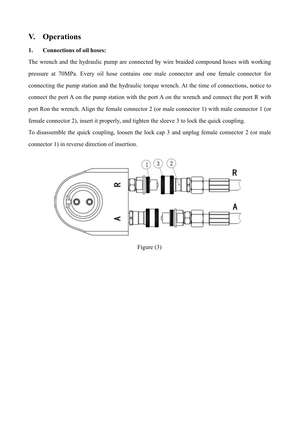### **V. Operations**

#### 1. **Connections** of oil hoses:

The wrench and the hydraulic pump are connected by wire braided compound hoses with working pressure at 70MPa. Every oil hose contains one male connector and one female connector for connecting the pump station and the hydraulic torque wrench. At the time of connections, notice to connect the port A on the pump station with the port A on the wrench and connect the port R with port Ron the wrench. Align the female connector 2 (or male connector 1) with male connector 1 (or female connector 2), insert it properly, and tighten the sleeve 3 to lock the quick coupling.

To disassemble the quick coupling, loosen the lock cap 3 and unplug female connector 2 (or male connector 1) in reverse direction of insertion.



Figure (3)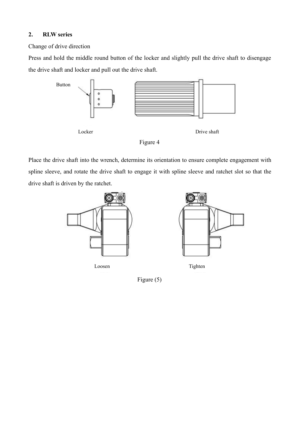#### **2. RLW series**

Change of drive direction

Press and hold the middle round button of the locker and slightly pull the drive shaft to disengage the drive shaft and locker and pull out the drive shaft.



Place the drive shaft into the wrench, determine its orientation to ensure complete engagement with spline sleeve, and rotate the drive shaft to engage it with spline sleeve and ratchet slot so that the drive shaft is driven by the ratchet.





Loosen Tighten

Figure (5)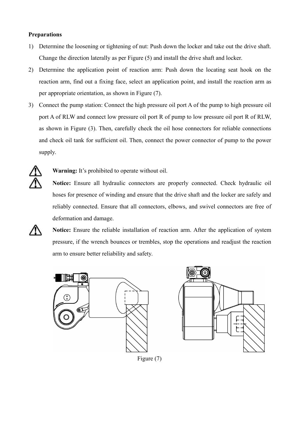#### **Preparations**

- 1) Determine the loosening or tightening of nut: Push down the locker and take out the drive shaft. Change the direction laterally as per Figure (5) and install the drive shaft and locker.
- 2) Determine the application point of reaction arm: Push down the locating seat hook on the reaction arm, find out a fixing face, select an application point, and install the reaction arm as per appropriate orientation, as shown in Figure (7).
- 3) Connect the pump station: Connect the high pressure oil port A of the pump to high pressure oil port A of RLW and connect low pressure oil port R of pump to low pressure oil port R of RLW, as shown in Figure (3). Then, carefully check the oil hose connectors for reliable connections and check oil tank for sufficient oil. Then, connect the power connector of pump to the power supply.



**Warning:** It's prohibited to operate without oil.

**Notice:** Ensure all hydraulic connectors are properly connected. Check hydraulic oil hoses for presence of winding and ensure that the drive shaft and the locker are safely and reliably connected. Ensure that all connectors, elbows, and swivel connectors are free of deformation and damage.



**Notice:** Ensure the reliable installation of reaction arm. After the application of system pressure, if the wrench bounces or trembles, stop the operations and readjust the reaction arm to ensure better reliability and safety.





Figure (7)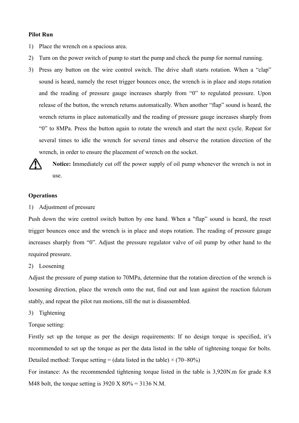#### **Pilot Run**

- 1) Place the wrench on a spacious area.
- 2) Turn on the power switch of pump to start the pump and check the pump for normal running.
- 3) Press any button on the wire control switch. The drive shaft starts rotation. When a "clap" sound is heard, namely the reset trigger bounces once, the wrench is in place and stops rotation and the reading of pressure gauge increases sharply from "0" to regulated pressure. Upon release of the button, the wrench returns automatically. When another "flap" sound is heard, the wrench returns in place automatically and the reading of pressure gauge increases sharply from "0" to 8MPa. Press the button again to rotate the wrench and start the next cycle. Repeat for several times to idle the wrench for several times and observe the rotation direction of the wrench, in order to ensure the placement of wrench on the socket.



**Notice:** Immediately cut off the power supply of oil pump whenever the wrench is not in use.

#### **Operations**

1) Adjustment of pressure

Push down the wire control switch button by one hand. When a "flap" sound is heard, the reset trigger bounces once and the wrench is in place and stops rotation. The reading of pressure gauge increases sharply from "0". Adjust the pressure regulator valve of oil pump by other hand to the required pressure.

2) Loosening

Adjust the pressure of pump station to 70MPa, determine that the rotation direction of the wrench is loosening direction, place the wrench onto the nut, find out and lean against the reaction fulcrum stably, and repeat the pilot run motions, till the nut is disassembled.

- 3) Tightening
- Torque setting:

Firstly set up the torque as per the design requirements: If no design torque is specified, it's recommended to set up the torque as per the data listed in the table of tightening torque for bolts. Detailed method: Torque setting = (data listed in the table)  $\times$  (70~80%)

For instance: As the recommended tightening torque listed in the table is 3,920N.m for grade 8.8 M48 bolt, the torque setting is  $3920 \text{ X } 80\% = 3136 \text{ N.M.}$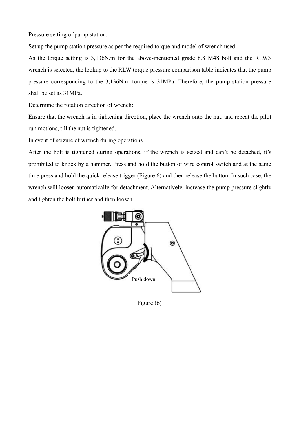Pressure setting of pump station:

Set up the pump station pressure as per the required torque and model of wrench used.

As the torque setting is 3,136N.m for the above-mentioned grade 8.8 M48 bolt and the RLW3 wrench is selected, the lookup to the RLW torque-pressure comparison table indicates that the pump pressure corresponding to the 3,136N.m torque is 31MPa. Therefore, the pump station pressure shall be set as 31MPa.

Determine the rotation direction of wrench:

Ensure that the wrench is in tightening direction, place the wrench onto the nut, and repeat the pilot run motions, till the nut is tightened.

In event of seizure of wrench during operations

After the bolt is tightened during operations, if the wrench is seized and can't be detached, it's prohibited to knock by a hammer. Press and hold the button of wire control switch and at the same time press and hold the quick release trigger (Figure 6) and then release the button. In such case, the wrench will loosen automatically for detachment. Alternatively, increase the pump pressure slightly and tighten the bolt further and then loosen.



Figure (6)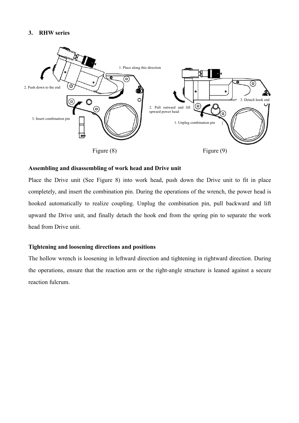#### **3. RHW series**



#### **Assembling and disassembling of work head and Drive unit**

Place the Drive unit (See Figure 8) into work head, push down the Drive unit to fit in place completely, and insert the combination pin. During the operations of the wrench, the power head is hooked automatically to realize coupling. Unplug the combination pin, pull backward and lift upward the Drive unit, and finally detach the hook end from the spring pin to separate the work head from Drive unit.

#### **Tightening and loosening directions and positions**

The hollow wrench is loosening in leftward direction and tightening in rightward direction. During the operations, ensure that the reaction arm or the right-angle structure is leaned against a secure reaction fulcrum.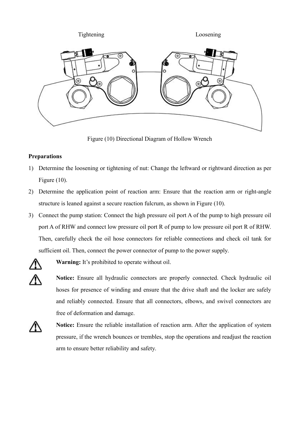

Figure (10) Directional Diagram of Hollow Wrench

#### **Preparations**

- 1) Determine the loosening or tightening of nut: Change the leftward or rightward direction as per Figure (10).
- 2) Determine the application point of reaction arm: Ensure that the reaction arm or right-angle structure is leaned against a secure reaction fulcrum, as shown in Figure (10).
- 3) Connect the pump station: Connect the high pressure oil port A of the pump to high pressure oil port A of RHW and connect low pressure oil port R of pump to low pressure oil port R of RHW. Then, carefully check the oil hose connectors for reliable connections and check oil tank for sufficient oil. Then, connect the power connector of pump to the power supply.



**Warning:** It's prohibited to operate without oil.

Notice: Ensure all hydraulic connectors are properly connected. Check hydraulic oil hoses for presence of winding and ensure that the drive shaft and the locker are safely and reliably connected.Ensure that all connectors, elbows, and swivel connectors are free of deformation and damage.



**Notice:** Ensure the reliable installation of reaction arm. After the application of system pressure, if the wrench bounces or trembles, stop the operations and readjust the reaction arm to ensure better reliability and safety.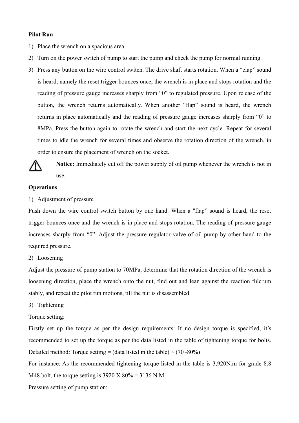#### **Pilot Run**

- 1) Place the wrench on a spacious area.
- 2) Turn on the power switch of pump to start the pump and check the pump for normal running.
- 3) Press any button on the wire control switch. The drive shaft starts rotation. When a "clap" sound is heard, namely the reset trigger bounces once, the wrench is in place and stops rotation and the reading of pressure gauge increases sharply from "0" to regulated pressure. Upon release of the button, the wrench returns automatically. When another "flap" sound is heard, the wrench returns in place automatically and the reading of pressure gauge increases sharply from "0" to 8MPa. Press the button again to rotate the wrench and start the next cycle. Repeat for several times to idle the wrench for several times and observe the rotation direction of the wrench, in order to ensure the placement of wrench on the socket.



**Notice:** Immediately cut off the power supply of oil pump whenever the wrench is not in use.

#### **Operations**

1) Adjustment of pressure

Push down the wire control switch button by one hand. When a "flap" sound is heard, the reset trigger bounces once and the wrench is in place and stops rotation. The reading of pressure gauge increases sharply from "0". Adjust the pressure regulator valve of oil pump by other hand to the required pressure.

2) Loosening

Adjust the pressure of pump station to 70MPa, determine that the rotation direction of the wrench is loosening direction, place the wrench onto the nut, find out and lean against the reaction fulcrum stably, and repeat the pilot run motions, till the nut is disassembled.

3) Tightening

Torque setting:

Firstly set up the torque as per the design requirements: If no design torque is specified, it's recommended to set up the torque as per the data listed in the table of tightening torque for bolts. Detailed method: Torque setting = (data listed in the table)  $\times$  (70~80%)

For instance: As the recommended tightening torque listed in the table is 3,920N.m for grade 8.8 M48 bolt, the torque setting is  $3920 \text{ X } 80\% = 3136 \text{ N.M.}$ 

Pressure setting of pump station: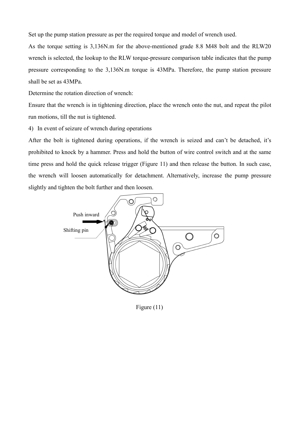Set up the pump station pressure as per the required torque and model of wrench used.

As the torque setting is 3,136N.m for the above-mentioned grade 8.8 M48 bolt and the RLW20 wrench is selected, the lookup to the RLW torque-pressure comparison table indicates that the pump pressure corresponding to the 3,136N.m torque is 43MPa. Therefore, the pump station pressure shall be set as 43MPa.

Determine the rotation direction of wrench:

Ensure that the wrench is in tightening direction, place the wrench onto the nut, and repeat the pilot run motions, till the nut is tightened.

4) In event of seizure of wrench during operations

After the bolt is tightened during operations, if the wrench is seized and can't be detached, it's prohibited to knock by a hammer. Press and hold the button of wire control switch and at the same time press and hold the quick release trigger (Figure 11) and then release the button. In such case, the wrench will loosen automatically for detachment. Alternatively, increase the pump pressure slightly and tighten the bolt further and then loosen.



Figure (11)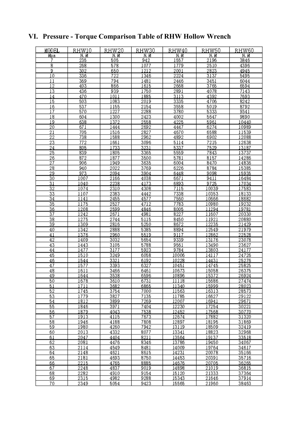#### MODEL RHW10 RHW20 RHW30 RHW40 RHW50 RHW60 Mpa  $N. M$ N. M  $N. M$  $N. M$  $N. M$  $N. M$ -7 ह उ  $\overline{302}$  $\frac{2001}{ }$  $\frac{2224}{2224}$  $\overline{3137}$  $\overline{10}$  $\overline{722}$  $\overline{12}$  $\overline{13}$  $\overline{3113}$  $\overline{15}$  $\overline{20}$  $\overline{22}$  $\overline{25}$  $\frac{26}{27}$  $\frac{1}{3635}$  $\overline{28}$  $\overline{30}$  $\frac{2238}{2310}$  $\overline{31}$  $\overline{32}$  $\overline{34}$  $\frac{36}{37}$ R<sub>227</sub>  $\frac{1275}{1275}$  $\frac{23078}{23627}$  $\overline{42}$  $\frac{24177}{24177}$  $\overline{44}$  $\overline{45}$  $\frac{10896}{10896}$  $\frac{16372}{15372}$  $\overline{49}$ <u> 1644</u> <u> 16313</u> 7135<br>7269 29122<br>29671 <u>2114</u> <u> 14231</u> <u> 14676</u> <u>2282</u>

#### **VI. Pressure - Torque Comparison Table of RHW Hollow Wrench**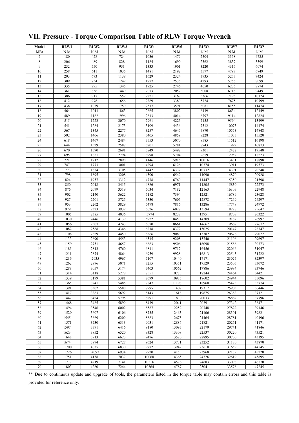| Model           | RLW1 | RLW2 | RLW3 | RLW4  | RLW <sub>5</sub> | RLW6  | RLW7  | RLW8  |
|-----------------|------|------|------|-------|------------------|-------|-------|-------|
| MPa             | N.M  | N.M  | N.M  | N.M   | N.M              | N.M   | N.M   | N.M   |
| $\tau$          | 180  | 428  | 724  | 1036  | 1479             | 2504  | 3358  | 4725  |
| 8               | 206  | 489  | 828  | 1184  | 1690             | 2362  | 3837  | 5399  |
| 9               | 232  | 550  | 931  | 1333  | 1901             | 3220  | 4317  | 6074  |
| 10              | 258  | 611  | 1035 | 1481  | 2192             | 3577  | 4797  | 6749  |
| 11              | 293  | 673  | 1138 | 1629  | 2324             | 3935  | 5277  | 7424  |
| 12              | 309  | 734  | 1242 | 1777  | 2535             | 4293  | 5756  | 8099  |
| 13              | 335  | 795  | 1345 | 1925  |                  |       |       | 8774  |
|                 |      |      |      |       | 2746             | 4650  | 6236  |       |
| 14              | 361  | 856  | 1449 | 2073  | 2057             | 5008  | 6716  | 9449  |
| 15              | 386  | 917  | 1552 | 2221  | 3169             | 5366  | 7195  | 10124 |
| 16              | 412  | 978  | 1656 | 2369  | 3380             | 5724  | 7675  | 10799 |
| 17              | 438  | 1039 | 1759 | 2517  | 3591             | 6081  | 8155  | 11474 |
| 18              | 464  | 1011 | 1863 | 2665  | 3802             | 6439  | 8634  | 12149 |
| 19              | 489  | 1162 | 1996 | 2813  | 4014             | 6797  | 9114  | 12824 |
| 20              | 515  | 1223 | 2070 | 2961  | 4225             | 7155  | 9594  | 13499 |
| 21              | 541  | 1284 | 2173 | 3109  | 4436             | 7512  | 10073 | 14174 |
| 22              | 567  | 1345 | 2277 | 3257  | 4647             | 7870  | 10553 | 14848 |
| 23              | 592  | 1406 | 2380 | 3405  | 4859             | 8228  | 11033 | 15520 |
| 24              | 618  | 1467 | 2484 | 3553  | 5070             | 8585  | 11512 | 16198 |
| $\overline{25}$ | 644  | 1529 | 2587 | 3701  | 5281             | 8943  | 11992 | 16873 |
| $26\,$          | 670  | 1590 | 2691 | 3849  | 5492             | 9301  | 12472 | 17548 |
| $27\,$          | 695  | 1651 | 2794 | 3998  | 5704             | 9659  | 12952 | 18223 |
| 28              | 721  | 1712 | 2898 | 4146  | 5915             | 10016 | 13431 | 18898 |
| 29              | 747  | 1773 | 3001 | 4294  | 6126             | 10374 | 13911 | 19573 |
| 30              | 773  | 1834 | 3105 | 4442  | 6337             | 10732 | 14391 | 20248 |
| 31              | 798  | 1895 | 3208 | 4500  | 6549             | 11090 | 14870 | 20928 |
| 32              | 824  | 1957 | 3312 | 4738  | 6760             | 11447 | 15350 | 21598 |
| 33              | 850  | 2018 | 3415 | 4886  | 6971             | 11805 | 15830 | 22273 |
| 34              | 876  | 2079 | 3519 | 5034  | 7182             | 12163 | 16309 | 22948 |
| 35              | 902  | 2140 | 3622 | 5182  | 7394             | 12521 | 16789 | 23628 |
| 36              | 927  | 2201 | 3725 | 5330  | 7605             | 12878 | 17269 | 24297 |
| 37              | 953  | 2262 | 3829 | 5478  | 7816             | 13286 | 17748 | 24972 |
| 38              | 979  | 2323 | 3932 | 5626  | 6027             | 13594 | 18228 | 25647 |
| 39              | 1005 | 2385 | 4036 | 5774  | 8238             | 13951 | 18708 | 26322 |
| 40              | 1030 | 2446 | 4139 | 5922  | 8450             | 14309 | 19187 | 26997 |
| 41              | 1056 | 2507 | 4243 | 6070  | 8661             | 14667 | 19667 | 27672 |
| 42              | 1082 | 2568 | 4346 | 6218  | 8372             | 15025 | 20147 | 28347 |
| 43              | 1108 | 2629 | 4450 | 6366  | 9083             | 15382 | 20626 | 29022 |
| 44              | 1133 | 2690 | 4553 | 6515  | 9205             | 15740 | 21106 | 29697 |
| 45              | 1159 | 2751 | 4657 | 6663  | 9506             | 16098 | 21586 | 30373 |
| 46              | 1185 | 2813 | 4760 | 6811  | 9717             | 16456 | 22066 | 31047 |
| 47              | 1211 | 2874 | 4864 | 6959  | 9928             | 16813 | 22545 | 31722 |
| 48              | 1236 | 2935 | 4967 | 7107  | 10440            | 17171 | 23025 | 32397 |
| 49              | 1262 | 2996 | 5071 | 7255  | 10351            | 17529 | 23505 | 33072 |
| 50              | 1288 | 3057 | 5174 | 7403  | 10562            | 17886 | 23984 | 33746 |
| 51              | 1314 | 3118 | 5278 | 7551  | 10773            | 18244 | 24464 | 34421 |
| 52              | 1339 | 3179 | 5381 | 7699  | 10985            | 18602 | 24944 | 35096 |
| 53              | 1365 | 3241 | 5485 | 7847  | 11196            | 18960 | 25423 | 35774 |
| 54              | 1391 | 3302 | 5588 | 7995  | 11407            | 19317 | 25903 | 36446 |
| 55              | 1417 | 3363 | 5692 | 8143  | 11618            | 19675 | 26383 | 37121 |
| 56              | 1442 | 3424 | 5795 | 8291  | 11830            | 20033 | 26862 | 37796 |
| 57              | 1468 | 3485 | 5899 | 8439  | 12041            | 20391 | 27342 | 38471 |
| 58              | 1494 | 3546 | 6002 | 8587  | 12252            | 20748 | 27822 | 39146 |
| 59              | 1520 | 3607 | 6106 | 8735  | 12463            | 21106 | 28301 | 39821 |
| 60              | 1545 | 3669 | 6209 | 8883  | 12675            | 21464 | 28781 | 40496 |
| 61              | 1571 | 3730 | 6313 | 9031  | 12886            | 21821 | 20261 | 41171 |
| 62              | 1597 | 3791 | 6416 | 9180  | 13097            | 22179 | 29741 | 41846 |
| 63              | 1623 | 3852 | 6520 | 9328  | 13308            | 22537 | 30220 | 43521 |
| 64              | 1648 | 3913 | 6623 | 9476  | 13520            | 22895 | 30700 | 43195 |
| 65              | 1674 | 3974 | 6727 | 9624  | 13731            | 23252 | 31180 | 43870 |
| 66              | 1700 | 4035 | 6830 | 9772  | 13942            | 23610 | 31659 | 44545 |
| 67              | 1726 | 4097 | 6934 | 9920  | 14153            | 23968 | 32139 | 45220 |
| 68              | 1751 | 4158 | 7037 | 10068 | 14365            | 24326 | 32619 | 45895 |
| 69              | 1777 | 4219 | 7141 | 10216 | 14576            | 24683 | 33098 | 46570 |
| 70              | 1803 | 4280 | 7244 | 10364 | 14787            | 25041 | 33578 | 47245 |
|                 |      |      |      |       |                  |       |       |       |

# **VII. Pressure - Torque Comparison Table of RLW Torque Wrench**

\*\* Due to continuous update and upgrade of tools, the parameters listed in the torque table may contain errors and this table is provided for reference only.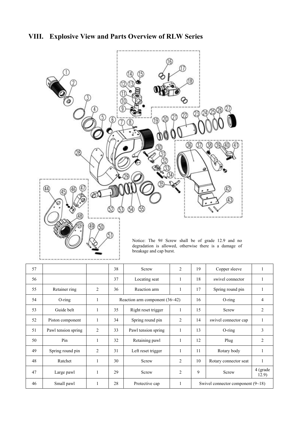



| 57 |                     |   | 38 | Screw                          | $\overline{2}$ | 19                                  | Copper sleeve         |                   |
|----|---------------------|---|----|--------------------------------|----------------|-------------------------------------|-----------------------|-------------------|
| 56 |                     |   | 37 | Locating seat                  |                | 18                                  | swivel connector      |                   |
| 55 | Retainer ring       | 2 | 36 | Reaction arm                   |                | 17                                  | Spring round pin      |                   |
| 54 | $O$ -ring           |   |    | Reaction arm component (36~42) |                |                                     | $O$ -ring             | $\overline{4}$    |
| 53 | Guide belt          |   | 35 | Right reset trigger            |                | 15                                  | Screw                 | 2                 |
| 52 | Piston component    |   | 34 | Spring round pin               | $\overline{2}$ | 14                                  | swivel connector cap  | $\mathbf{1}$      |
| 51 | Pawl tension spring | 2 | 33 | Pawl tension spring            |                | 13                                  | $O$ -ring             | 3                 |
| 50 | Pin                 |   | 32 | Retaining pawl<br>1            |                | 12                                  | Plug                  | $\mathfrak{D}$    |
| 49 | Spring round pin    | 2 | 31 | Left reset trigger             |                | 11                                  | Rotary body           |                   |
| 48 | Ratchet             |   | 30 | Screw                          | $\overline{2}$ | 10                                  | Rotary connector seat | $\mathbf{1}$      |
| 47 | Large pawl          |   | 29 | Screw                          | $\overline{2}$ | 9                                   | Screw                 | 4 (grade<br>12.9) |
| 46 | Small pawl          |   | 28 | Protective cap                 |                | Swivel connector component $(9-18)$ |                       |                   |
|    |                     |   |    |                                |                |                                     |                       |                   |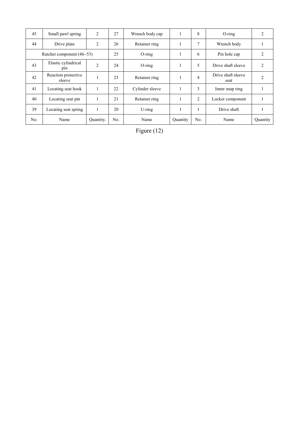| 45                          | Small pawl spring             | 2              | 27        | Wrench body cap |          | 8              | $O$ -ring                  | 2              |
|-----------------------------|-------------------------------|----------------|-----------|-----------------|----------|----------------|----------------------------|----------------|
| 44                          | Drive plate                   | $\overline{2}$ | 26        | Retainer ring   |          | 7              | Wrench body                |                |
| Ratchet component $(46-53)$ |                               | 25             | $O$ -ring |                 | 6        | Pin hole cap   | $\overline{2}$             |                |
| 43                          | Elastic cylindrical<br>pin    | 2              | 24        | $O$ -ring       |          | 5              | Drive shaft sleeve         | 2              |
| 42                          | Reaction protective<br>sleeve |                | 23        | Retainer ring   |          | 4              | Drive shaft sleeve<br>seat | $\overline{2}$ |
| 41                          | Locating seat hook            |                | 22        | Cylinder sleeve |          | 3              | Inner snap ring            |                |
| 40                          | Locating seat pin             |                | 21        | Retainer ring   |          | $\overline{2}$ | Locker component           |                |
| 39                          | Locating seat spring          | $\mathbf{1}$   | 20        | $U$ -ring       |          |                | Drive shaft                |                |
| No.                         | Name                          | Quantity.      | No.       | Name            | Quantity | No.            | Name                       | Quantity       |
|                             |                               |                |           |                 |          |                |                            |                |

Figure (12)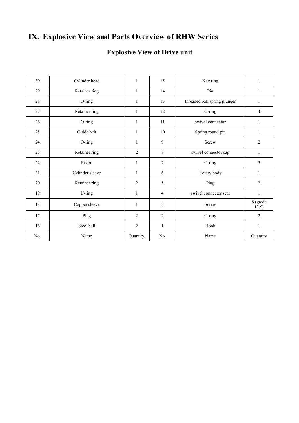# **IX. Explosive View and Parts Overview of RHW Series**

# **Explosive View of Drive unit**

| 30  | Cylinder head   | $\mathbf{1}$   | 15             | Key ring                     | 1                 |
|-----|-----------------|----------------|----------------|------------------------------|-------------------|
| 29  | Retainer ring   | 1              | 14             | Pin                          | 1                 |
| 28  | O-ring          | $\mathbf{1}$   | 13             | threaded ball spring plunger | $\mathbf{1}$      |
| 27  | Retainer ring   | $\mathbf{1}$   | 12             | O-ring                       | $\overline{4}$    |
| 26  | O-ring          | 1              | 11             | swivel connector             | 1                 |
| 25  | Guide belt      | 1              | 10             | Spring round pin             | 1                 |
| 24  | O-ring          | $\mathbf{1}$   | 9              | Screw                        | $\overline{2}$    |
| 23  | Retainer ring   | $\overline{2}$ | 8              | swivel connector cap         | 1                 |
| 22  | Piston          | 1              | $\overline{7}$ | O-ring                       | $\overline{3}$    |
| 21  | Cylinder sleeve | $\mathbf{1}$   | 6              | Rotary body                  | 1                 |
| 20  | Retainer ring   | $\overline{2}$ | 5              | Plug                         | $\overline{2}$    |
| 19  | U-ring          | 1              | $\overline{4}$ | swivel connector seat        | $\mathbf{1}$      |
| 18  | Copper sleeve   | $\mathbf{1}$   | $\overline{3}$ | Screw                        | 8 (grade<br>12.9) |
| 17  | Plug            | $\overline{2}$ | $\overline{2}$ | O-ring                       | $\overline{2}$    |
| 16  | Steel ball      | $\overline{2}$ | $\mathbf{1}$   | Hook                         | $\mathbf{1}$      |
| No. | Name            | Quantity.      | No.            | Name                         | Quantity          |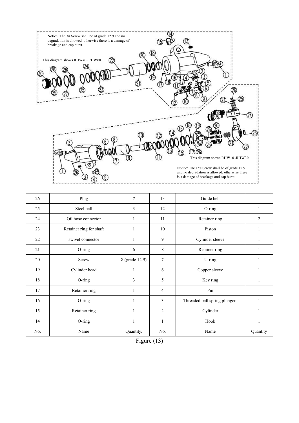

| 26  | Plug                    | $\overline{7}$ | 13             | Guide belt                    | 1              |
|-----|-------------------------|----------------|----------------|-------------------------------|----------------|
| 25  | Steel ball              | 3              | 12             | O-ring                        | 1              |
| 24  | Oil hose connector      | 1              | 11             | Retainer ring                 | $\overline{c}$ |
| 23  | Retainer ring for shaft | 1              | 10             | Piston                        | 1              |
| 22  | swivel connector        | $\mathbf{1}$   | 9              | Cylinder sleeve               | 1              |
| 21  | O-ring                  | 6              | 8              | Retainer ring                 | 1              |
| 20  | Screw                   | 8 (grade 12.9) | $\tau$         | U-ring                        |                |
| 19  | Cylinder head           | $\mathbf{1}$   | 6              | Copper sleeve                 | 1              |
| 18  | O-ring                  | 3              | 5              | Key ring                      | 1              |
| 17  | Retainer ring           | $\mathbf{1}$   | 4              | Pin                           | $\mathbf{1}$   |
| 16  | O-ring                  | $\mathbf{1}$   | $\overline{3}$ | Threaded ball spring plungers | $\mathbf{1}$   |
| 15  | Retainer ring           | 1              | 2              | Cylinder                      |                |
| 14  | O-ring                  | $\mathbf{1}$   |                | Hook                          | $\mathbf{1}$   |
| No. | Name                    | Quantity.      | No.            | Name                          | Quantity       |

| Figure $(13)$ |
|---------------|
|---------------|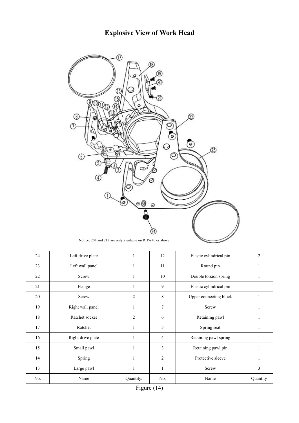# **Explosive View of Work Head**



Notice: 20# and 21# are only available on RHW40 or above.

| 24  | Left drive plate  | 1              | 12             | Elastic cylindrical pin | $\overline{2}$ |
|-----|-------------------|----------------|----------------|-------------------------|----------------|
| 23  | Left wall panel   | 1              | 11             | Round pin               | 1              |
| 22  | Screw             | 1              | 10             | Double torsion spring   | 1              |
| 21  | Flange            | 1              | 9              | Elastic cylindrical pin | 1              |
| 20  | Screw             | $\overline{2}$ | 8              | Upper connecting block  |                |
| 19  | Right wall panel  | $\mathbf{1}$   | $\overline{7}$ | Screw                   |                |
| 18  | Ratchet socket    | $\mathfrak{2}$ | 6              | Retaining pawl          |                |
| 17  | Ratchet           |                | 5              | Spring seat             |                |
| 16  | Right drive plate |                | $\overline{4}$ | Retaining pawl spring   | 1              |
| 15  | Small pawl        | 1              | 3              | Retaining pawl pin      | $\mathbf{1}$   |
| 14  | Spring            | 1              | $\overline{c}$ | Protective sleeve       | 1              |
| 13  | Large pawl        | $\mathbf{1}$   | 1              | Screw                   | 3              |
| No. | Name              | Quantity.      | No.            | Name                    | Quantity       |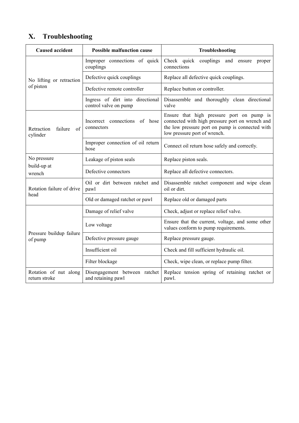# **X. Troubleshooting**

| <b>Caused accident</b>                  | <b>Possible malfunction cause</b>                         | Troubleshooting                                                                                                                                                                 |
|-----------------------------------------|-----------------------------------------------------------|---------------------------------------------------------------------------------------------------------------------------------------------------------------------------------|
| No lifting or retraction<br>of piston   | Improper connections of quick<br>couplings                | Check quick couplings and ensure proper<br>connections                                                                                                                          |
|                                         | Defective quick couplings                                 | Replace all defective quick couplings.                                                                                                                                          |
|                                         | Defective remote controller                               | Replace button or controller.                                                                                                                                                   |
|                                         | Ingress of dirt into directional<br>control valve on pump | Disassemble and thoroughly clean directional<br>valve                                                                                                                           |
| Retraction<br>failure<br>of<br>cylinder | Incorrect connections of hose<br>connectors               | Ensure that high pressure port on pump is<br>connected with high pressure port on wrench and<br>the low pressure port on pump is connected with<br>low pressure port of wrench. |
|                                         | Improper connection of oil return<br>hose                 | Connect oil return hose safely and correctly.                                                                                                                                   |
| No pressure<br>build-up at<br>wrench    | Leakage of piston seals                                   | Replace piston seals.                                                                                                                                                           |
|                                         | Defective connectors                                      | Replace all defective connectors.                                                                                                                                               |
| Rotation failure of drive<br>head       | Oil or dirt between ratchet and<br>pawl                   | Disassemble ratchet component and wipe clean<br>oil or dirt.                                                                                                                    |
|                                         | Old or damaged ratchet or pawl                            | Replace old or damaged parts                                                                                                                                                    |
| Pressure buildup failure<br>of pump     | Damage of relief valve                                    | Check, adjust or replace relief valve.                                                                                                                                          |
|                                         | Low voltage                                               | Ensure that the current, voltage, and some other<br>values conform to pump requirements.                                                                                        |
|                                         | Defective pressure gauge                                  | Replace pressure gauge.                                                                                                                                                         |
|                                         | Insufficient oil                                          | Check and fill sufficient hydraulic oil.                                                                                                                                        |
|                                         | Filter blockage                                           | Check, wipe clean, or replace pump filter.                                                                                                                                      |
| Rotation of nut along<br>return stroke  | Disengagement between ratchet<br>and retaining pawl       | Replace tension spring of retaining ratchet or<br>pawl.                                                                                                                         |